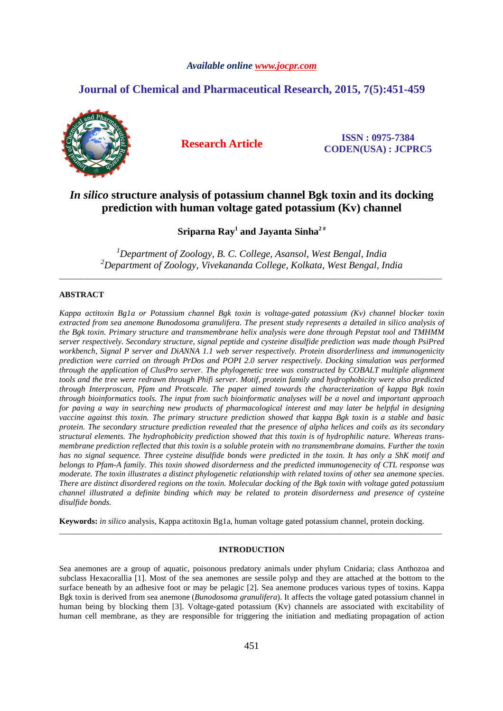# *Available online www.jocpr.com*

# **Journal of Chemical and Pharmaceutical Research, 2015, 7(5):451-459**



**Research Article ISSN : 0975-7384 CODEN(USA) : JCPRC5**

# *In silico* **structure analysis of potassium channel Bgk toxin and its docking prediction with human voltage gated potassium (Kv) channel**

**Sriparna Ray<sup>1</sup> and Jayanta Sinha2 #** 

*<sup>1</sup>Department of Zoology, B. C. College, Asansol, West Bengal, India <sup>2</sup>Department of Zoology, Vivekananda College, Kolkata, West Bengal, India*  \_\_\_\_\_\_\_\_\_\_\_\_\_\_\_\_\_\_\_\_\_\_\_\_\_\_\_\_\_\_\_\_\_\_\_\_\_\_\_\_\_\_\_\_\_\_\_\_\_\_\_\_\_\_\_\_\_\_\_\_\_\_\_\_\_\_\_\_\_\_\_\_\_\_\_\_\_\_\_\_\_\_\_\_\_\_\_\_\_\_\_\_\_

# **ABSTRACT**

*Kappa actitoxin Bg1a or Potassium channel Bgk toxin is voltage-gated potassium (Kv) channel blocker toxin extracted from sea anemone Bunodosoma granulifera. The present study represents a detailed in silico analysis of the Bgk toxin. Primary structure and transmembrane helix analysis were done through Pepstat tool and TMHMM server respectively. Secondary structure, signal peptide and cysteine disulfide prediction was made though PsiPred workbench, Signal P server and DiANNA 1.1 web server respectively. Protein disorderliness and immunogenicity prediction were carried on through PrDos and POPI 2.0 server respectively. Docking simulation was performed through the application of ClusPro server. The phylogenetic tree was constructed by COBALT multiple alignment tools and the tree were redrawn through Phifi server. Motif, protein family and hydrophobicity were also predicted through Interproscan, Pfam and Protscale. The paper aimed towards the characterization of kappa Bgk toxin through bioinformatics tools. The input from such bioinformatic analyses will be a novel and important approach for paving a way in searching new products of pharmacological interest and may later be helpful in designing vaccine against this toxin. The primary structure prediction showed that kappa Bgk toxin is a stable and basic protein. The secondary structure prediction revealed that the presence of alpha helices and coils as its secondary structural elements. The hydrophobicity prediction showed that this toxin is of hydrophilic nature. Whereas transmembrane prediction reflected that this toxin is a soluble protein with no transmembrane domains. Further the toxin has no signal sequence. Three cysteine disulfide bonds were predicted in the toxin. It has only a ShK motif and belongs to Pfam-A family. This toxin showed disorderness and the predicted immunogenecity of CTL response was moderate. The toxin illustrates a distinct phylogenetic relationship with related toxins of other sea anemone species. There are distinct disordered regions on the toxin. Molecular docking of the Bgk toxin with voltage gated potassium channel illustrated a definite binding which may be related to protein disorderness and presence of cysteine disulfide bonds.* 

**Keywords:** *in silico* analysis, Kappa actitoxin Bg1a, human voltage gated potassium channel, protein docking.

# **INTRODUCTION**

\_\_\_\_\_\_\_\_\_\_\_\_\_\_\_\_\_\_\_\_\_\_\_\_\_\_\_\_\_\_\_\_\_\_\_\_\_\_\_\_\_\_\_\_\_\_\_\_\_\_\_\_\_\_\_\_\_\_\_\_\_\_\_\_\_\_\_\_\_\_\_\_\_\_\_\_\_\_\_\_\_\_\_\_\_\_\_\_\_\_\_\_\_

Sea anemones are a group of aquatic, poisonous predatory animals under phylum Cnidaria; class Anthozoa and subclass Hexacorallia [1]. Most of the sea anemones are sessile polyp and they are attached at the bottom to the surface beneath by an adhesive foot or may be pelagic [2]. Sea anemone produces various types of toxins. Kappa Bgk toxin is derived from sea anemone (*Bunodosoma granulifera*). It affects the voltage gated potassium channel in human being by blocking them [3]. Voltage-gated potassium (Kv) channels are associated with excitability of human cell membrane, as they are responsible for triggering the initiation and mediating propagation of action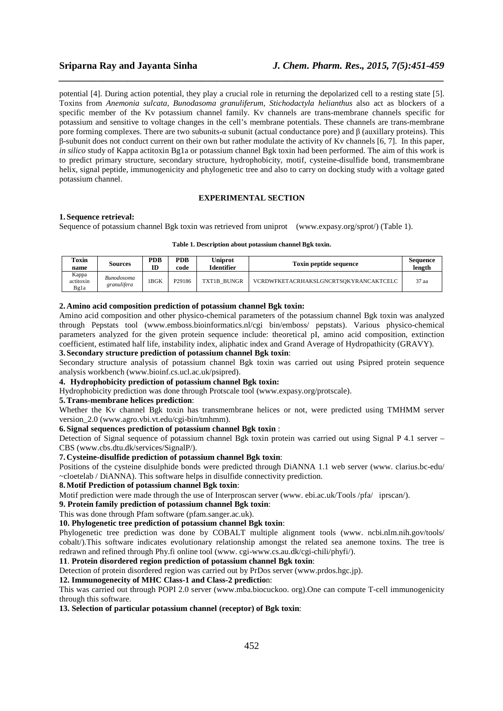potential [4]. During action potential, they play a crucial role in returning the depolarized cell to a resting state [5]. Toxins from *Anemonia sulcata, Bunodasoma granuliferum, Stichodactyla helianthus* also act as blockers of a specific member of the Kv potassium channel family. Kv channels are trans-membrane channels specific for potassium and sensitive to voltage changes in the cell's membrane potentials. These channels are trans-membrane pore forming complexes. There are two subunits-α subunit (actual conductance pore) and β (auxillary proteins). This β-subunit does not conduct current on their own but rather modulate the activity of Kv channels [6, 7]. In this paper, *in silico* study of Kappa actitoxin Bg1a or potassium channel Bgk toxin had been performed. The aim of this work is to predict primary structure, secondary structure, hydrophobicity, motif, cysteine-disulfide bond, transmembrane helix, signal peptide, immunogenicity and phylogenetic tree and also to carry on docking study with a voltage gated potassium channel.

*\_\_\_\_\_\_\_\_\_\_\_\_\_\_\_\_\_\_\_\_\_\_\_\_\_\_\_\_\_\_\_\_\_\_\_\_\_\_\_\_\_\_\_\_\_\_\_\_\_\_\_\_\_\_\_\_\_\_\_\_\_\_\_\_\_\_\_\_\_\_\_\_\_\_\_\_\_\_*

# **EXPERIMENTAL SECTION**

#### **1. Sequence retrieval:**

Sequence of potassium channel Bgk toxin was retrieved from uniprot (www.expasy.org/sprot/) (Table 1).

#### **Table 1. Description about potassium channel Bgk toxin.**

| Toxin<br>name              | Sources                   | PDB<br>m | <b>PDB</b><br>code | <b>Uniprot</b><br>Identifier | <b>Toxin peptide sequence</b>         | Sequence<br>length |
|----------------------------|---------------------------|----------|--------------------|------------------------------|---------------------------------------|--------------------|
| Kappa<br>actitoxin<br>Bg1a | Bunodosoma<br>granulifera | 1 BGK    | P29186             | TXT1B BUNGR                  | VCRDWFKETACRHAKSLGNCRTSOKYRANCAKTCELC | 37 aa              |

## **2. Amino acid composition prediction of potassium channel Bgk toxin:**

Amino acid composition and other physico-chemical parameters of the potassium channel Bgk toxin was analyzed through Pepstats tool (www.emboss.bioinformatics.nl/cgi bin/emboss/ pepstats). Various physico-chemical parameters analyzed for the given protein sequence include: theoretical pI, amino acid composition, extinction coefficient, estimated half life, instability index, aliphatic index and Grand Average of Hydropathicity (GRAVY).

#### **3. Secondary structure prediction of potassium channel Bgk toxin**:

Secondary structure analysis of potassium channel Bgk toxin was carried out using Psipred protein sequence analysis workbench (www.bioinf.cs.ucl.ac.uk/psipred).

#### **4. Hydrophobicity prediction of potassium channel Bgk toxin:**

Hydrophobicity prediction was done through Protscale tool (www.expasy.org/protscale).

### **5.Trans-membrane helices prediction**:

Whether the Kv channel Bgk toxin has transmembrane helices or not, were predicted using TMHMM server version\_2.0 (www.agro.vbi.vt.edu/cgi-bin/tmhmm).

### **6. Signal sequences prediction of potassium channel Bgk toxin** :

Detection of Signal sequence of potassium channel Bgk toxin protein was carried out using Signal P 4.1 server – CBS (www.cbs.dtu.dk/services/SignalP/).

# **7. Cysteine-disulfide prediction of potassium channel Bgk toxin**:

Positions of the cysteine disulphide bonds were predicted through DiANNA 1.1 web server (www. clarius.bc-edu/ ~cloetelab / DiANNA). This software helps in disulfide connectivity prediction.

# **8.Motif Prediction of potassium channel Bgk toxin**:

Motif prediction were made through the use of Interproscan server (www. ebi.ac.uk/Tools /pfa/ iprscan/).

**9. Protein family prediction of potassium channel Bgk toxin**:

# This was done through Pfam software (pfam.sanger.ac.uk).

## **10. Phylogenetic tree prediction of potassium channel Bgk toxin**:

Phylogenetic tree prediction was done by COBALT multiple alignment tools (www. ncbi.nlm.nih.gov/tools/ cobalt/).This software indicates evolutionary relationship amongst the related sea anemone toxins. The tree is redrawn and refined through Phy.fi online tool (www. cgi-www.cs.au.dk/cgi-chili/phyfi/).

# **11**. **Protein disordered region prediction of potassium channel Bgk toxin**:

Detection of protein disordered region was carried out by PrDos server (www.prdos.hgc.jp).

## **12. Immunogenecity of MHC Class-1 and Class-2 predictio**n:

This was carried out through POPI 2.0 server (www.mba.biocuckoo. org).One can compute T-cell immunogenicity through this software.

**13. Selection of particular potassium channel (receptor) of Bgk toxin**: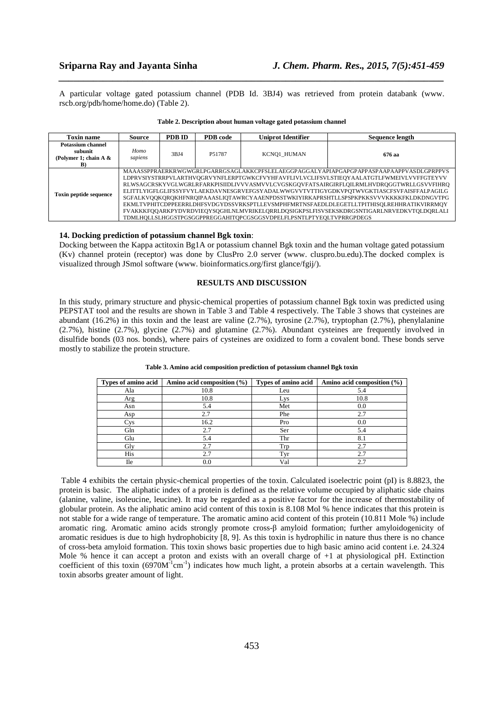A particular voltage gated potassium channel (PDB Id. 3BJ4) was retrieved from protein databank (www. rscb.org/pdb/home/home.do) (Table 2).

*\_\_\_\_\_\_\_\_\_\_\_\_\_\_\_\_\_\_\_\_\_\_\_\_\_\_\_\_\_\_\_\_\_\_\_\_\_\_\_\_\_\_\_\_\_\_\_\_\_\_\_\_\_\_\_\_\_\_\_\_\_\_\_\_\_\_\_\_\_\_\_\_\_\_\_\_\_\_*

| <b>Toxin name</b>                                                     | Source          | PDB ID | PDB code | <b>Uniprot Identifier</b>                                           | Sequence length                                                                                                                                                                                                                                                                                                                                                                                                                                                                                                                                                                                                                                           |
|-----------------------------------------------------------------------|-----------------|--------|----------|---------------------------------------------------------------------|-----------------------------------------------------------------------------------------------------------------------------------------------------------------------------------------------------------------------------------------------------------------------------------------------------------------------------------------------------------------------------------------------------------------------------------------------------------------------------------------------------------------------------------------------------------------------------------------------------------------------------------------------------------|
| <b>Potassium channel</b><br>subunit<br>(Polymer 1; chain A $\&$<br>B) | Homo<br>sapiens | 3BJ4   | P51787   | KCNO1 HUMAN                                                         | 676 aa                                                                                                                                                                                                                                                                                                                                                                                                                                                                                                                                                                                                                                                    |
| <b>Toxin peptide sequence</b>                                         |                 |        |          | TDMLHQLLSLHGGSTPGSGGPPREGGAHITQPCGSGGSVDPELFLPSNTLPTYEQLTVPRRGPDEGS | MAAASSPPRAERKRWGWGRLPGARRGSAGLAKKCPFSLELAEGGPAGGALYAPIAPGAPGPAPPASPAAPAAPPVASDLGPRPPVS<br>LDPRVSIYSTRRPVLARTHVQGRVYNFLERPTGWKCFVYHFAVFLIVLVCLIFSVLSTIEQYAALATGTLFWMEIVLVVFFGTEYVV<br>RLWSAGCRSKYVGLWGRLRFARKPISIIDLIVVVASMVVLCVGSKGQVFATSAIRGIRFLQILRMLHVDRQGGTWRLLGSVVFIHRQ<br>ELITTLYIGFLGLIFSSYFVYLAEKDAVNESGRVEFGSYADALWWGVVTVTTIGYGDKVPQTWVGKTIASCFSVFAISFFALPAGILG<br>SGFALKVOOKOROKHFNROIPAAASLIOTAWRCYAAENPDSSTWKIYIRKAPRSHTLLSPSPKPKKSVVVKKKKFKLDKDNGVTPG<br>EKMLTVPHITCDPPEERRLDHFSVDGYDSSVRKSPTLLEVSMPHFMRTNSFAEDLDLEGETLLTPITHISQLREHHRATIKVIRRMQY<br>FVAKKKFOQARKPYDVRDVIEQYSQGHLNLMVRIKELQRRLDQSIGKPSLFISVSEKSKDRGSNTIGARLNRVEDKVTQLDQRLALI |

| Table 2. Description about human voltage gated potassium channel |  |  |
|------------------------------------------------------------------|--|--|
|------------------------------------------------------------------|--|--|

### **14. Docking prediction of potassium channel Bgk toxin**:

Docking between the Kappa actitoxin Bg1A or potassium channel Bgk toxin and the human voltage gated potassium (Kv) channel protein (receptor) was done by ClusPro 2.0 server (www. cluspro.bu.edu).The docked complex is visualized through JSmol software (www. bioinformatics.org/first glance/fgij/).

# **RESULTS AND DISCUSSION**

In this study, primary structure and physic-chemical properties of potassium channel Bgk toxin was predicted using PEPSTAT tool and the results are shown in Table 3 and Table 4 respectively. The Table 3 shows that cysteines are abundant (16.2%) in this toxin and the least are valine (2.7%), tyrosine (2.7%), tryptophan (2.7%), phenylalanine (2.7%), histine (2.7%), glycine (2.7%) and glutamine (2.7%). Abundant cysteines are frequently involved in disulfide bonds (03 nos. bonds), where pairs of cysteines are oxidized to form a covalent bond. These bonds serve mostly to stabilize the protein structure.

| Types of amino acid | Amino acid composition $(\% )$ | Types of amino acid | Amino acid composition $(\% )$ |
|---------------------|--------------------------------|---------------------|--------------------------------|
| Ala                 | 10.8                           | Leu                 | 5.4                            |
| Arg                 | 10.8                           | Lys                 | 10.8                           |
| Asn                 | 5.4                            | Met                 | 0.0                            |
| Asp                 | 2.7                            | Phe                 | 2.7                            |
| ' ys                | 16.2                           | Pro                 | 0.0                            |
| Gln                 | 2.7                            | Ser                 | 5.4                            |
| Glu                 | 5.4                            | Thr                 | 8.1                            |
| Gly                 | 2.7                            | Trp                 | 2.7                            |
| His                 | 2.7                            | Tyr                 | 2.7                            |
| Ile                 | 0.0                            | Val                 | 2.7                            |

**Table 3. Amino acid composition prediction of potassium channel Bgk toxin** 

 Table 4 exhibits the certain physic-chemical properties of the toxin. Calculated isoelectric point (pI) is 8.8823, the protein is basic. The aliphatic index of a protein is defined as the relative volume occupied by aliphatic side chains (alanine, valine, isoleucine, leucine). It may be regarded as a positive factor for the increase of thermostability of globular protein. As the aliphatic amino acid content of this toxin is 8.108 Mol % hence indicates that this protein is not stable for a wide range of temperature. The aromatic amino acid content of this protein (10.811 Mole %) include aromatic ring. Aromatic amino acids strongly promote cross-β amyloid formation; further amyloidogenicity of aromatic residues is due to high hydrophobicity [8, 9]. As this toxin is hydrophilic in nature thus there is no chance of cross-beta amyloid formation. This toxin shows basic properties due to high basic amino acid content i.e. 24.324 Mole % hence it can accept a proton and exists with an overall charge of  $+1$  at physiological pH. Extinction coefficient of this toxin  $(6970M^{-1}cm^{-1})$  indicates how much light, a protein absorbs at a certain wavelength. This toxin absorbs greater amount of light.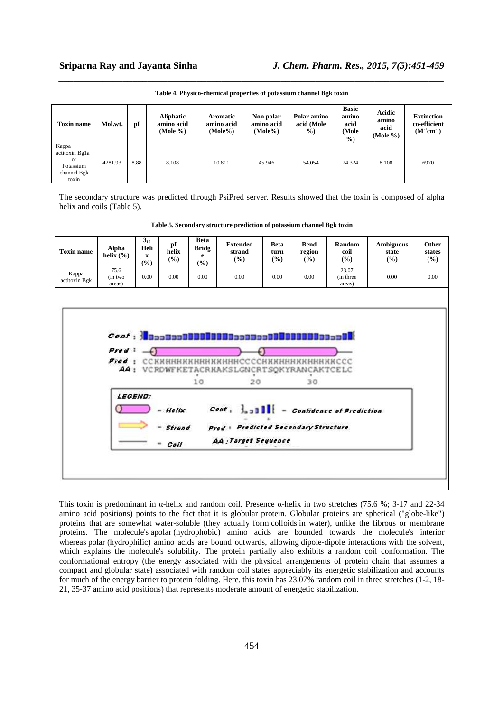| <b>Toxin name</b>                                                  | Mol.wt. | pI   | <b>Aliphatic</b><br>amino acid<br>(Mole $\%$ ) | <b>Aromatic</b><br>amino acid<br>$(Mole\%)$ | Non polar<br>amino acid<br>$(Mole\%)$ | Polar amino<br>acid (Mole<br>$\%$ ) | <b>Basic</b><br>amino<br>acid<br>(Mole<br>$\frac{9}{0}$ | Acidic<br>amino<br>acid<br>(Mole $\%$ ) | <b>Extinction</b><br>co-efficient<br>$(M^{-1}cm^{-1})$ |
|--------------------------------------------------------------------|---------|------|------------------------------------------------|---------------------------------------------|---------------------------------------|-------------------------------------|---------------------------------------------------------|-----------------------------------------|--------------------------------------------------------|
| Kappa<br>actitoxin Bg1a<br>or<br>Potassium<br>channel Bgk<br>toxin | 4281.93 | 8.88 | 8.108                                          | 10.811                                      | 45.946                                | 54.054                              | 24.324                                                  | 8.108                                   | 6970                                                   |

*\_\_\_\_\_\_\_\_\_\_\_\_\_\_\_\_\_\_\_\_\_\_\_\_\_\_\_\_\_\_\_\_\_\_\_\_\_\_\_\_\_\_\_\_\_\_\_\_\_\_\_\_\_\_\_\_\_\_\_\_\_\_\_\_\_\_\_\_\_\_\_\_\_\_\_\_\_\_* **Table 4. Physico-chemical properties of potassium channel Bgk toxin** 

The secondary structure was predicted through PsiPred server. Results showed that the toxin is composed of alpha helix and coils (Table 5).

**Table 5. Secondary structure prediction of potassium channel Bgk toxin** 

| <b>Toxin name</b>      | Alpha<br>helix $(\% )$    | $3_{10}$<br>Heli<br>$\mathbf{x}$<br>(%) | pI<br>helix<br>(%)          | <b>Beta</b><br><b>Bridg</b><br>e<br>(%) | <b>Extended</b><br>strand<br>(%)                                                                                                                                                                                                                                | <b>Beta</b><br>turn<br>(%) | <b>Bend</b><br>region<br>$($ %) | Random<br>coil<br>(%)        | <b>Ambiguous</b><br>state<br>(%) | Other<br>states<br>(%) |
|------------------------|---------------------------|-----------------------------------------|-----------------------------|-----------------------------------------|-----------------------------------------------------------------------------------------------------------------------------------------------------------------------------------------------------------------------------------------------------------------|----------------------------|---------------------------------|------------------------------|----------------------------------|------------------------|
| Kappa<br>actitoxin Bgk | 75.6<br>(in two<br>areas) | 0.00                                    | 0.00                        | 0.00                                    | 0.00                                                                                                                                                                                                                                                            | 0.00                       | 0.00                            | 23.07<br>(in three<br>areas) | 0.00                             | 0.00                   |
|                        | Pred $-$<br>LEGEND:       |                                         | $- Hefix$<br>Strand<br>Coil | 10                                      | Fred: ССККНННККНННККННННССССКККНННККНННККССС<br>A4: VCROWFKETACRKAKSLGNCRTSOKYRANCAKTCELC<br>20<br>$Cost \left( \frac{1}{2} \right)$ and $\left  \frac{1}{2} \right $ = Confidence of Prediction<br>Pred   Predicted Secondary Structure<br>AA: Target Sequence |                            | 30                              |                              |                                  |                        |

This toxin is predominant in  $\alpha$ -helix and random coil. Presence  $\alpha$ -helix in two stretches (75.6 %; 3-17 and 22-34 amino acid positions) points to the fact that it is globular protein. Globular proteins are spherical ("globe-like") proteins that are somewhat water-soluble (they actually form colloids in water), unlike the fibrous or membrane proteins. The molecule's apolar (hydrophobic) amino acids are bounded towards the molecule's interior whereas polar (hydrophilic) amino acids are bound outwards, allowing dipole-dipole interactions with the solvent, which explains the molecule's solubility. The protein partially also exhibits a random coil conformation. The conformational entropy (the energy associated with the physical arrangements of protein chain that assumes a compact and globular state) associated with random coil states appreciably its energetic stabilization and accounts for much of the energy barrier to protein folding. Here, this toxin has 23.07% random coil in three stretches (1-2, 18- 21, 35-37 amino acid positions) that represents moderate amount of energetic stabilization.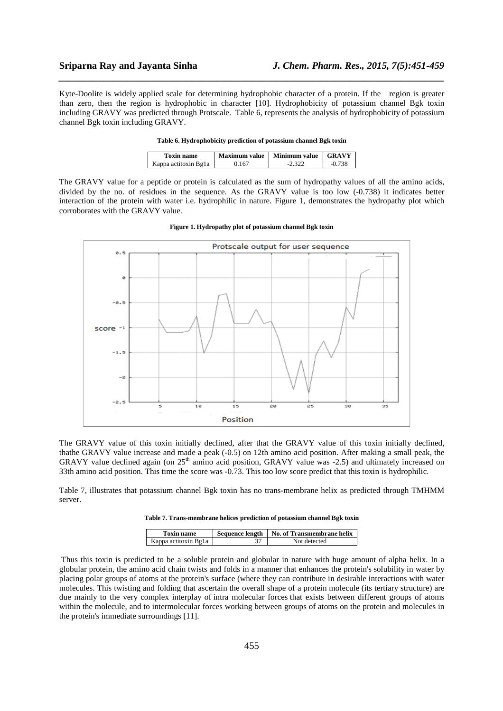Kyte-Doolite is widely applied scale for determining hydrophobic character of a protein. If the region is greater than zero, then the region is hydrophobic in character [10]. Hydrophobicity of potassium channel Bgk toxin including GRAVY was predicted through Protscale. Table 6, represents the analysis of hydrophobicity of potassium channel Bgk toxin including GRAVY.

*\_\_\_\_\_\_\_\_\_\_\_\_\_\_\_\_\_\_\_\_\_\_\_\_\_\_\_\_\_\_\_\_\_\_\_\_\_\_\_\_\_\_\_\_\_\_\_\_\_\_\_\_\_\_\_\_\_\_\_\_\_\_\_\_\_\_\_\_\_\_\_\_\_\_\_\_\_\_*

| <b>Toxin name</b>    | Maximum value | Minimum value | <b>GRAVY</b> |
|----------------------|---------------|---------------|--------------|
| Kappa actitoxin Bg1a | .167          |               |              |

The GRAVY value for a peptide or protein is calculated as the sum of hydropathy values of all the amino acids, divided by the no. of residues in the sequence. As the GRAVY value is too low (-0.738) it indicates better interaction of the protein with water i.e. hydrophilic in nature. Figure 1, demonstrates the hydropathy plot which corroborates with the GRAVY value.



**Figure 1. Hydropathy plot of potassium channel Bgk toxin**

The GRAVY value of this toxin initially declined, after that the GRAVY value of this toxin initially declined, thathe GRAVY value increase and made a peak (-0.5) on 12th amino acid position. After making a small peak, the GRAVY value declined again (on 25<sup>th</sup> amino acid position, GRAVY value was -2.5) and ultimately increased on 33th amino acid position. This time the score was -0.73. This too low score predict that this toxin is hydrophilic.

Table 7, illustrates that potassium channel Bgk toxin has no trans-membrane helix as predicted through TMHMM server.

| Table 7. Trans-membrane helices prediction of potassium channel Bgk toxin |  |  |  |
|---------------------------------------------------------------------------|--|--|--|
|---------------------------------------------------------------------------|--|--|--|

| <b>Toxin name</b>    | Sequence length   No. of Transmembrane helix |  |  |
|----------------------|----------------------------------------------|--|--|
| Kappa actitoxin Bg1a | Not detected                                 |  |  |

 Thus this toxin is predicted to be a soluble protein and globular in nature with huge amount of alpha helix. In a globular protein, the amino acid chain twists and folds in a manner that enhances the protein's solubility in water by placing polar groups of atoms at the protein's surface (where they can contribute in desirable interactions with water molecules. This twisting and folding that ascertain the overall shape of a protein molecule (its tertiary structure) are due mainly to the very complex interplay of intra molecular forces that exists between different groups of atoms within the molecule, and to intermolecular forces working between groups of atoms on the protein and molecules in the protein's immediate surroundings [11].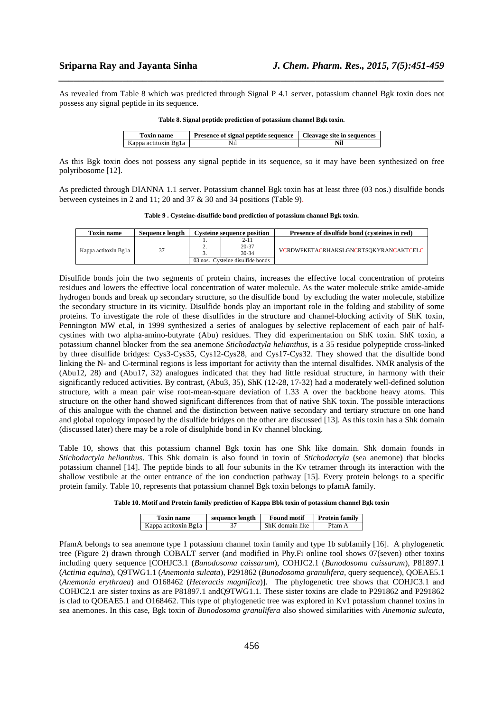As revealed from Table 8 which was predicted through Signal P 4.1 server, potassium channel Bgk toxin does not possess any signal peptide in its sequence.

*\_\_\_\_\_\_\_\_\_\_\_\_\_\_\_\_\_\_\_\_\_\_\_\_\_\_\_\_\_\_\_\_\_\_\_\_\_\_\_\_\_\_\_\_\_\_\_\_\_\_\_\_\_\_\_\_\_\_\_\_\_\_\_\_\_\_\_\_\_\_\_\_\_\_\_\_\_\_*

| <b>Toxin name</b>    | <b>Presence of signal peptide sequence</b> Cleavage site in sequences |     |
|----------------------|-----------------------------------------------------------------------|-----|
| Kappa actitoxin Bg1a |                                                                       | Nil |

**Table 8. Signal peptide prediction of potassium channel Bgk toxin.** 

As this Bgk toxin does not possess any signal peptide in its sequence, so it may have been synthesized on free polyribosome [12].

As predicted through DIANNA 1.1 server. Potassium channel Bgk toxin has at least three (03 nos.) disulfide bonds between cysteines in 2 and 11; 20 and 37 & 30 and 34 positions (Table 9).

|  |  | Table 9. Cysteine-disulfide bond prediction of potassium channel Bgk toxin. |  |  |
|--|--|-----------------------------------------------------------------------------|--|--|
|  |  |                                                                             |  |  |

| <b>Toxin name</b>    | <b>Sequence length</b> | <b>Cysteine sequence position</b> |                                  | Presence of disulfide bond (cysteines in red) |
|----------------------|------------------------|-----------------------------------|----------------------------------|-----------------------------------------------|
| Kappa actitoxin Bg1a | 37                     | <u>.</u>                          | 2-11<br>$20 - 37$<br>$30-34$     | VCRDWFKETACRHAKSLGNCRTSOKYRANCAKTCELC         |
|                      |                        |                                   | 03 nos. Cysteine disulfide bonds |                                               |

Disulfide bonds join the two segments of protein chains, increases the effective local concentration of proteins residues and lowers the effective local concentration of water molecule. As the water molecule strike amide-amide hydrogen bonds and break up secondary structure, so the disulfide bond by excluding the water molecule, stabilize the secondary structure in its vicinity. Disulfide bonds play an important role in the folding and stability of some proteins. To investigate the role of these disulfides in the structure and channel-blocking activity of ShK toxin, Pennington MW et.al, in 1999 synthesized a series of analogues by selective replacement of each pair of halfcystines with two alpha-amino-butyrate (Abu) residues. They did experimentation on ShK toxin. ShK toxin, a potassium channel blocker from the sea anemone *Stichodactyla helianthus*, is a 35 residue polypeptide cross-linked by three disulfide bridges: Cys3-Cys35, Cys12-Cys28, and Cys17-Cys32. They showed that the disulfide bond linking the N- and C-terminal regions is less important for activity than the internal disulfides. NMR analysis of the (Abu12, 28) and (Abu17, 32) analogues indicated that they had little residual structure, in harmony with their significantly reduced activities. By contrast, (Abu3, 35), ShK (12-28, 17-32) had a moderately well-defined solution structure, with a mean pair wise root-mean-square deviation of 1.33 A over the backbone heavy atoms. This structure on the other hand showed significant differences from that of native ShK toxin. The possible interactions of this analogue with the channel and the distinction between native secondary and tertiary structure on one hand and global topology imposed by the disulfide bridges on the other are discussed [13]. As this toxin has a Shk domain (discussed later) there may be a role of disulphide bond in Kv channel blocking.

Table 10, shows that this potassium channel Bgk toxin has one Shk like domain. Shk domain founds in *Stichodactyla helianthus*. This Shk domain is also found in toxin of *Stichodactyla* (sea anemone) that blocks potassium channel [14]. The peptide binds to all four subunits in the Kv tetramer through its interaction with the shallow vestibule at the outer entrance of the ion conduction pathway [15]. Every protein belongs to a specific protein family. Table 10, represents that potassium channel Bgk toxin belongs to pfamA family.

|  | Table 10. Motif and Protein family prediction of Kappa Bbk toxin of potassium channel Bgk toxin |
|--|-------------------------------------------------------------------------------------------------|
|  |                                                                                                 |

| Toxin name           | sequence length | <b>Found motif</b> | <b>Protein family</b> |
|----------------------|-----------------|--------------------|-----------------------|
| Kappa actitoxin Bg1a |                 | ShK domain like    | Pfam A                |
|                      |                 |                    |                       |

PfamA belongs to sea anemone type 1 potassium channel toxin family and type 1b subfamily [16]. A phylogenetic tree (Figure 2) drawn through COBALT server (and modified in Phy.Fi online tool shows 07(seven) other toxins including query sequence [COHJC3.1 (*Bunodosoma caissarum*), COHJC2.1 (*Bunodosoma caissarum*), P81897.1 (*Actinia equina*), Q9TWG1.1 (*Anemonia sulcata*), P291862 (*Bunodosoma granulifera,* query sequence), QOEAE5.1 (*Anemonia erythraea*) and O168462 (*Heteractis magnifica*)]. The phylogenetic tree shows that COHJC3.1 and COHJC2.1 are sister toxins as are P81897.1 andQ9TWG1.1. These sister toxins are clade to P291862 and P291862 is clad to QOEAE5.1 and O168462. This type of phylogenetic tree was explored in Kv1 potassium channel toxins in sea anemones. In this case, Bgk toxin of *Bunodosoma granulifera* also showed similarities with *Anemonia sulcata*,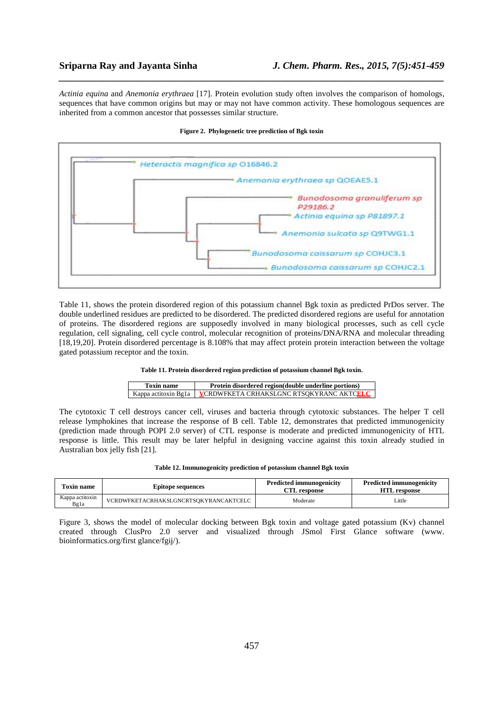*Actinia equina* and *Anemonia erythraea* [17]. Protein evolution study often involves the comparison of homologs, sequences that have common origins but may or may not have common activity. These homologous sequences are inherited from a common ancestor that possesses similar structure.

*\_\_\_\_\_\_\_\_\_\_\_\_\_\_\_\_\_\_\_\_\_\_\_\_\_\_\_\_\_\_\_\_\_\_\_\_\_\_\_\_\_\_\_\_\_\_\_\_\_\_\_\_\_\_\_\_\_\_\_\_\_\_\_\_\_\_\_\_\_\_\_\_\_\_\_\_\_\_*



**Figure 2. Phylogenetic tree prediction of Bgk toxin**

Table 11, shows the protein disordered region of this potassium channel Bgk toxin as predicted PrDos server. The double underlined residues are predicted to be disordered. The predicted disordered regions are useful for annotation of proteins. The disordered regions are supposedly involved in many biological processes, such as cell cycle regulation, cell signaling, cell cycle control, molecular recognition of proteins/DNA/RNA and molecular threading [18,19,20]. Protein disordered percentage is 8.108% that may affect protein protein interaction between the voltage gated potassium receptor and the toxin.

#### **Table 11. Protein disordered region prediction of potassium channel Bgk toxin.**

| Toxin name | Protein disordered region(double underline portions)                   |  |
|------------|------------------------------------------------------------------------|--|
|            | Kappa actitoxin Bg1a   <b>VCRDWFKETA CRHAKSLGNC RTSQKYRANC AKTCELC</b> |  |

The cytotoxic T cell destroys cancer cell, viruses and bacteria through cytotoxic substances. The helper T cell release lymphokines that increase the response of B cell. Table 12, demonstrates that predicted immunogenicity (prediction made through POPI 2.0 server) of CTL response is moderate and predicted immunogenicity of HTL response is little. This result may be later helpful in designing vaccine against this toxin already studied in Australian box jelly fish [21].

| Table 12. Immunogenicity prediction of potassium channel Bgk toxin |  |  |  |
|--------------------------------------------------------------------|--|--|--|
|--------------------------------------------------------------------|--|--|--|

| <b>Toxin name</b>       | <b>Epitope sequences</b>              | <b>Predicted immunogenicity</b><br><b>CTL response</b> | <b>Predicted immunogenicity</b><br><b>HTL</b> response |
|-------------------------|---------------------------------------|--------------------------------------------------------|--------------------------------------------------------|
| Kappa actitoxin<br>Bg1a | VCRDWFKETACRHAKSLGNCRTSOKYRANCAKTCELC | Moderate                                               | Little                                                 |

Figure 3, shows the model of molecular docking between Bgk toxin and voltage gated potassium (Kv) channel created through ClusPro 2.0 server and visualized through JSmol First Glance software (www. bioinformatics.org/first glance/fgij/).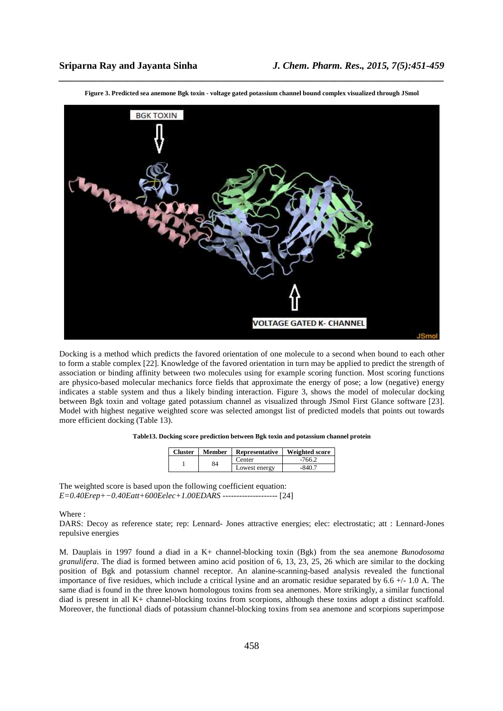

*\_\_\_\_\_\_\_\_\_\_\_\_\_\_\_\_\_\_\_\_\_\_\_\_\_\_\_\_\_\_\_\_\_\_\_\_\_\_\_\_\_\_\_\_\_\_\_\_\_\_\_\_\_\_\_\_\_\_\_\_\_\_\_\_\_\_\_\_\_\_\_\_\_\_\_\_\_\_* **Figure 3. Predicted sea anemone Bgk toxin - voltage gated potassium channel bound complex visualized through JSmol** 

Docking is a method which predicts the favored orientation of one molecule to a second when bound to each other to form a stable complex [22]. Knowledge of the favored orientation in turn may be applied to predict the strength of association or binding affinity between two molecules using for example scoring function. Most scoring functions are physico-based molecular mechanics force fields that approximate the energy of pose; a low (negative) energy indicates a stable system and thus a likely binding interaction. Figure 3, shows the model of molecular docking between Bgk toxin and voltage gated potassium channel as visualized through JSmol First Glance software [23]. Model with highest negative weighted score was selected amongst list of predicted models that points out towards more efficient docking (Table 13).

#### **Table13. Docking score prediction between Bgk toxin and potassium channel protein**

| <b>Cluster</b> | Member | <b>Representative</b> | Weighted score |
|----------------|--------|-----------------------|----------------|
|                | 84     | Center                | $-766.2$       |
|                |        | Lowest energy         | -840.7         |

The weighted score is based upon the following coefficient equation: *E=0.40Erep+−0.40Eatt+600Eelec+1.00EDARS --------------------* [24]

Where :

DARS: Decoy as reference state; rep: Lennard- Jones attractive energies; elec: electrostatic; att : Lennard-Jones repulsive energies

M. Dauplais in 1997 found a diad in a K+ channel-blocking toxin (Bgk) from the sea anemone *Bunodosoma granulifera*. The diad is formed between amino acid position of 6, 13, 23, 25, 26 which are similar to the docking position of Bgk and potassium channel receptor. An alanine-scanning-based analysis revealed the functional importance of five residues, which include a critical lysine and an aromatic residue separated by  $6.6 +/1.0$  A. The same diad is found in the three known homologous toxins from sea anemones. More strikingly, a similar functional diad is present in all K+ channel-blocking toxins from scorpions, although these toxins adopt a distinct scaffold. Moreover, the functional diads of potassium channel-blocking toxins from sea anemone and scorpions superimpose